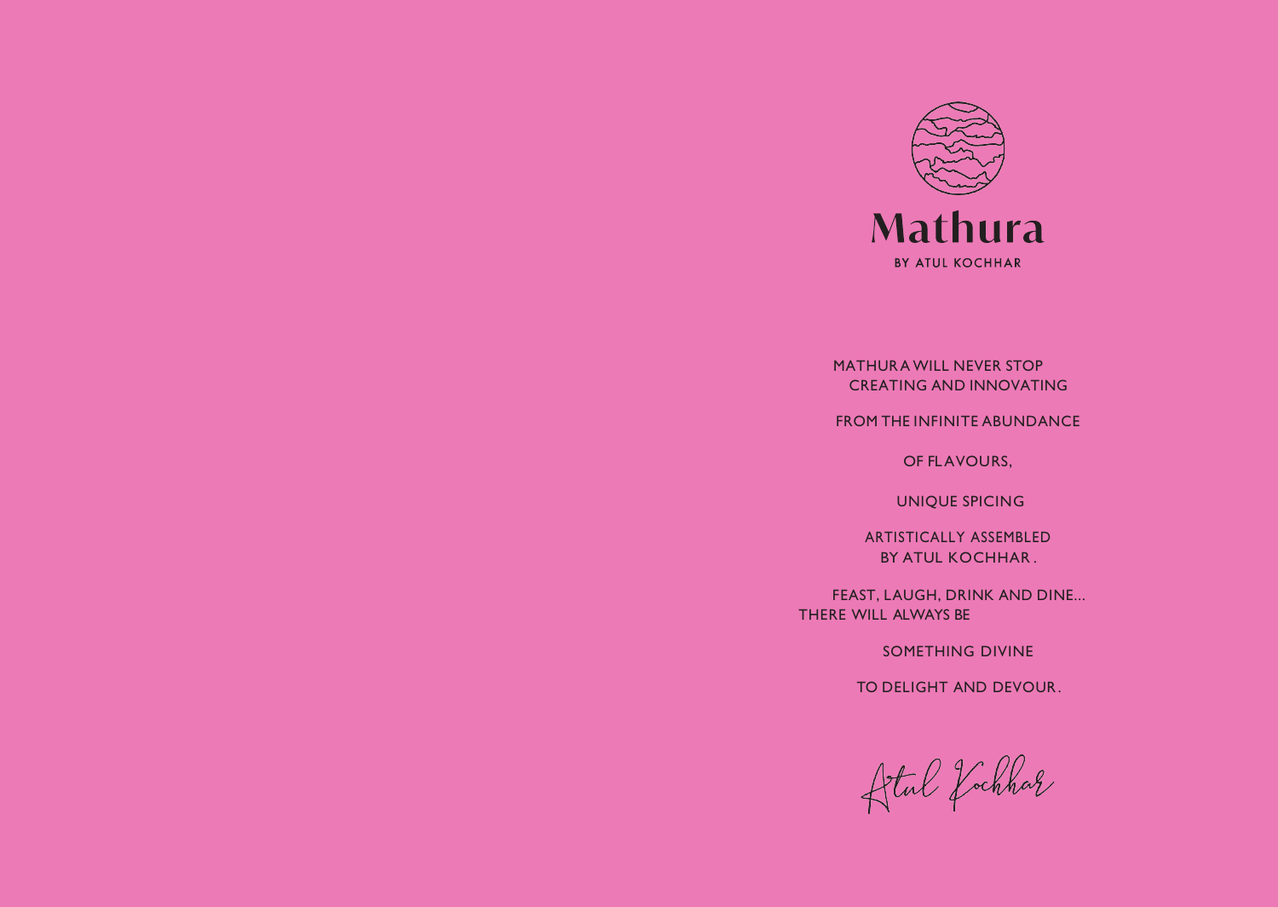

MATHURA WILL NEVER STOP CREATING AND INNOVATING

FROM THE INFINITE ABUNDANCE

OF FLAVOURS,

UNIQUE SPICING

ARTISTICALLY ASSEMBLED BY ATUL KOCHHAR .

FEAST, LAUGH, DRINK AND DINE... THERE WILL ALWAYS BE

SOMETHING DIVINE

TO DELIGHT AND DEVOUR .

Detal fochhar